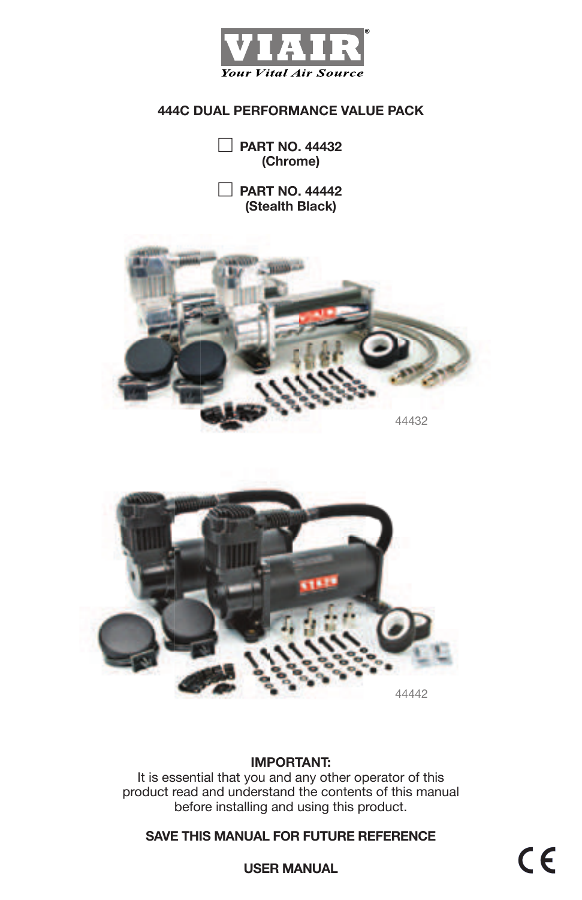

**PART NO. 44432 (Chrome)**

**PART NO. 44442 (Stealth Black)**





### **IMPORTANT:**

It is essential that you and any other operator of this product read and understand the contents of this manual before installing and using this product.

## **SAVE THIS MANUAL FOR FUTURE REFERENCE**

 $C \in$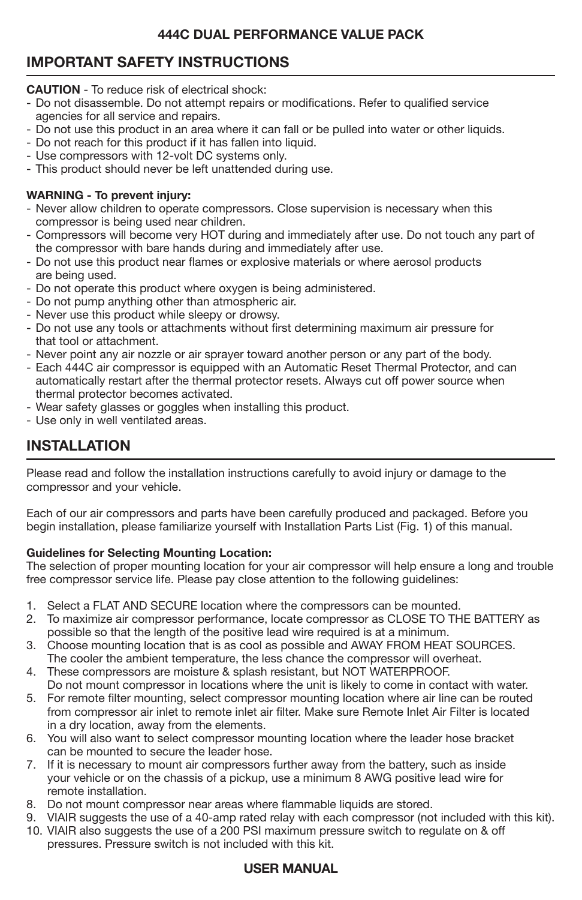# **IMPORTANT SAFETY INSTRUCTIONS**

**CAUTION** - To reduce risk of electrical shock:

- Do not disassemble. Do not attempt repairs or modifications. Refer to qualified service agencies for all service and repairs.
- Do not use this product in an area where it can fall or be pulled into water or other liquids.
- Do not reach for this product if it has fallen into liquid.
- Use compressors with 12-volt DC systems only.
- This product should never be left unattended during use.

#### **WARNING - To prevent injury:**

- Never allow children to operate compressors. Close supervision is necessary when this compressor is being used near children.
- Compressors will become very HOT during and immediately after use. Do not touch any part of the compressor with bare hands during and immediately after use.
- Do not use this product near flames or explosive materials or where aerosol products are being used.
- Do not operate this product where oxygen is being administered.
- Do not pump anything other than atmospheric air.
- Never use this product while sleepy or drowsy.
- Do not use any tools or attachments without first determining maximum air pressure for that tool or attachment.
- Never point any air nozzle or air sprayer toward another person or any part of the body.
- Each 444C air compressor is equipped with an Automatic Reset Thermal Protector, and can automatically restart after the thermal protector resets. Always cut off power source when thermal protector becomes activated.
- Wear safety glasses or goggles when installing this product.
- Use only in well ventilated areas.

# **INSTALLATION**

Please read and follow the installation instructions carefully to avoid injury or damage to the compressor and your vehicle.

Each of our air compressors and parts have been carefully produced and packaged. Before you begin installation, please familiarize yourself with Installation Parts List (Fig. 1) of this manual.

#### **Guidelines for Selecting Mounting Location:**

The selection of proper mounting location for your air compressor will help ensure a long and trouble free compressor service life. Please pay close attention to the following guidelines:

- 1. Select a FLAT AND SECURE location where the compressors can be mounted.
- 2. To maximize air compressor performance, locate compressor as CLOSE TO THE BATTERY as possible so that the length of the positive lead wire required is at a minimum.<br>3. Choose mounting location that is as cool as possible and AWAY FROM HFAT
- Choose mounting location that is as cool as possible and AWAY FROM HEAT SOURCES. The cooler the ambient temperature, the less chance the compressor will overheat.
- 4. These compressors are moisture & splash resistant, but NOT WATERPROOF. Do not mount compressor in locations where the unit is likely to come in contact with water.
- 5. For remote filter mounting, select compressor mounting location where air line can be routed from compressor air inlet to remote inlet air filter. Make sure Remote Inlet Air Filter is located in a dry location, away from the elements.
- 6. You will also want to select compressor mounting location where the leader hose bracket can be mounted to secure the leader hose.
- 7. If it is necessary to mount air compressors further away from the battery, such as inside your vehicle or on the chassis of a pickup, use a minimum 8 AWG positive lead wire for remote installation.
- 8. Do not mount compressor near areas where flammable liquids are stored.
- 9. VIAIR suggests the use of a 40-amp rated relay with each compressor (not included with this kit).
- 10. VIAIR also suggests the use of a 200 PSI maximum pressure switch to regulate on & off pressures. Pressure switch is not included with this kit.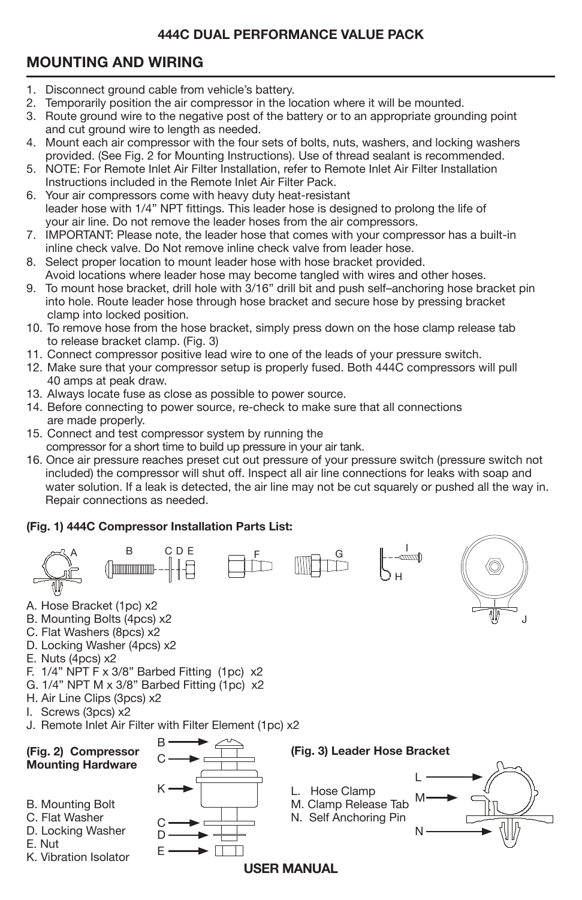# **MOUNTING AND WIRING**

- 1. Disconnect ground cable from vehicle's battery.
- 2. Temporarily position the air compressor in the location where it will be mounted.
- 3. Route ground wire to the negative post of the battery or to an appropriate grounding point and cut ground wire to length as needed.
- 4. Mount each air compressor with the four sets of bolts, nuts, washers, and locking washers provided. (See Fig. 2 for Mounting Instructions). Use of thread sealant is recommended.
- 5. NOTE: For Remote Inlet Air Filter Installation, refer to Remote Inlet Air Filter Installation Instructions included in the Remote Inlet Air Filter Pack.
- 6. Your air compressors come with heavy duty heat-resistant leader hose with 1/4" NPT fittings. This leader hose is designed to prolong the life of your air line. Do not remove the leader hoses from the air compressors.
- 7. IMPORTANT: Please note, the leader hose that comes with your compressor has a built-in inline check valve. Do Not remove inline check valve from leader hose.
- 8. Select proper location to mount leader hose with hose bracket provided. Avoid locations where leader hose may become tangled with wires and other hoses.
- 9. To mount hose bracket, drill hole with 3/16" drill bit and push self-anchoring hose bracket pin into hole. Route leader hose through hose bracket and secure hose by pressing bracket clamp into locked position.
- 10. To remove hose from the hose bracket, simply press down on the hose clamp release tab to release bracket clamp. (Fig. 3)
- 11. Connect compressor positive lead wire to one of the leads of your pressure switch.
- 12. Make sure that your compressor setup is properly fused. Both 444C compressors will pull 40 amps at peak draw.
- 13. Always locate fuse as close as possible to power source.
- 14. Before connecting to power source, re-check to make sure that all connections are made properly.
- 15. Connect and test compressor system by running the compressor for a short time to build up pressure in your air tank.
- 16. Once air pressure reaches preset cut out pressure of your pressure switch (pressure switch not included) the compressor will shut off. Inspect all air line connections for leaks with soap and water solution. If a leak is detected, the air line may not be cut squarely or pushed all the way in. Repair connections as needed.

# **(Fig. 1) 444C Compressor Installation Parts List:**

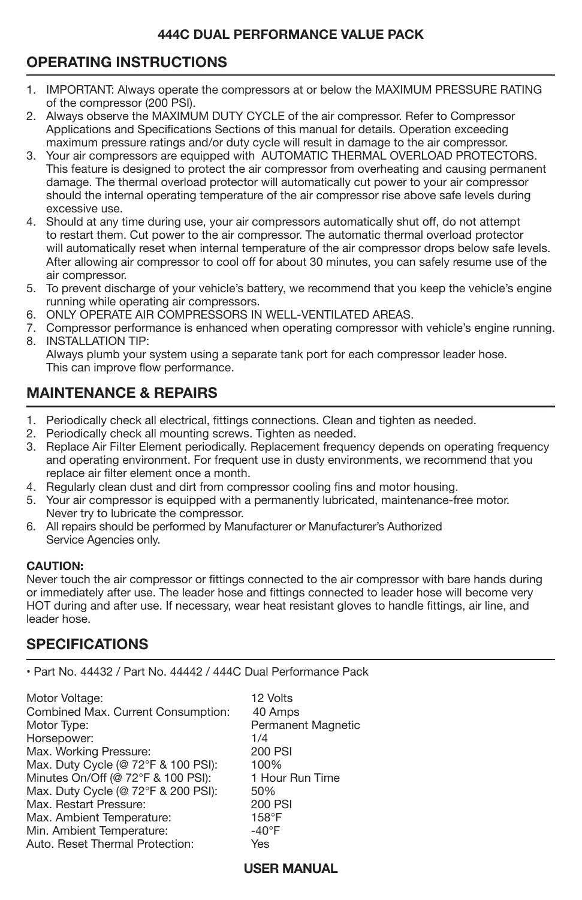# **OPERATING INSTRUCTIONS**

- j 1. IMPORTANT: Always operate the compressors at or below the MAXIMUM PRESSURE RATING of the compressor (200 PSI).
- 2. Always observe the MAXIMUM DUTY CYCLE of the air compressor. Refer to Compressor Applications and Specifications Sections of this manual for details. Operation exceeding maximum pressure ratings and/or duty cycle will result in damage to the air compressor.
- 3. Your air compressors are equipped with AUTOMATIC THERMAL OVERLOAD PROTECTORS. This feature is designed to protect the air compressor from overheating and causing permanent damage. The thermal overload protector will automatically cut power to your air compressor should the internal operating temperature of the air compressor rise above safe levels during excessive use.
- 4. Should at any time during use, your air compressors automatically shut off, do not attempt to restart them. Cut power to the air compressor. The automatic thermal overload protector will automatically reset when internal temperature of the air compressor drops below safe levels. After allowing air compressor to cool off for about 30 minutes, you can safely resume use of the air compressor.
- 5. To prevent discharge of your vehicle's battery, we recommend that you keep the vehicle's engine running while operating air compressors.
- 6. ONLY OPERATE AIR COMPRESSORS IN WELL-VENTILATED AREAS.
- 7. Compressor performance is enhanced when operating compressor with vehicle's engine running. 8. INSTALLATION TIP:

 Always plumb your system using a separate tank port for each compressor leader hose. This can improve flow performance.

# **MAINTENANCE & REPAIRS**

- 1. Periodically check all electrical, fittings connections. Clean and tighten as needed.
- 2. Periodically check all mounting screws. Tighten as needed.
- 3. Replace Air Filter Element periodically. Replacement frequency depends on operating frequency and operating environment. For frequent use in dusty environments, we recommend that you replace air filter element once a month.
- 4. Regularly clean dust and dirt from compressor cooling fins and motor housing.
- 5. Your air compressor is equipped with a permanently lubricated, maintenance-free motor. Never try to lubricate the compressor.
- 6. All repairs should be performed by Manufacturer or Manufacturer's Authorized Service Agencies only.

#### **CAUTION:**

Never touch the air compressor or fittings connected to the air compressor with bare hands during or immediately after use. The leader hose and fittings connected to leader hose will become very HOT during and after use. If necessary, wear heat resistant gloves to handle fittings, air line, and leader hose.

# **SPECIFICATIONS**

• Part No. 44432 / Part No. 44442 / 444C Dual Performance Pack

Motor Voltage: (12 Volts)<br>Combined Max. Current Consumption: (40 Amps) Combined Max. Current Consumption:<br>Motor Type: Horsepower: 1/4 Max. Working Pressure:  $\frac{200 \text{ P}}{200 \text{ P}}$ <br>
Max. Duty Cycle (@ 72°F & 100 PSI): 100% Max. Duty Cycle (@ 72°F & 100 PSI): 100%<br>Minutes On/Off (@ 72°F & 100 PSI): 1 Hour Run Time Minutes On/Off (@ 72°F & 100 PSI): 1 Ho<br>Max. Duty Cycle (@ 72°F & 200 PSI): 50% Max. Duty Cycle (@ 72°F & 200 PSI): 50%<br>Max. Restart Pressure: 1999 PSI Max. Restart Pressure: 200 P<br>Max. Ambient Temperature: 158°F Max. Ambient Temperature:  $158^{\circ}F$ <br>Min. Ambient Temperature:  $40^{\circ}F$ Min. Ambient Temperature: -40°F Auto. Reset Thermal Protection:

Permanent Magnetic<br>1/4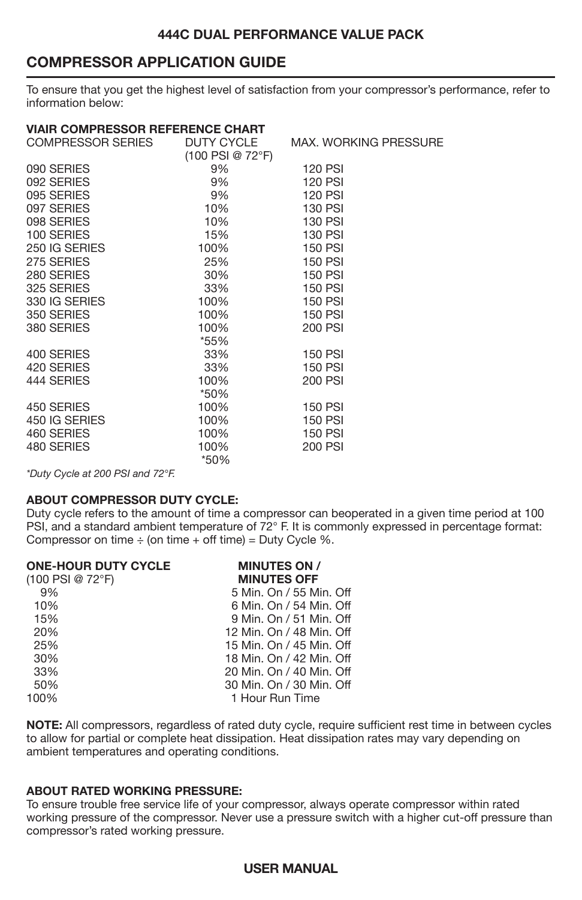## **COMPRESSOR APPLICATION GUIDE**

To ensure that you get the highest level of satisfaction from your compressor's performance, refer to information below:

| VIAIR COMPRESSOR REFERENCE CHART |                    |                              |  |  |
|----------------------------------|--------------------|------------------------------|--|--|
| COMPRESSOR SERIES                | DUTY CYCLE         | <b>MAX. WORKING PRESSURE</b> |  |  |
|                                  | $(100$ PSI @ 72°F) |                              |  |  |
| 090 SERIES                       | 9%                 | <b>120 PSI</b>               |  |  |
| 092 SERIES                       | 9%                 | 120 PSI                      |  |  |
| 095 SERIES                       | 9%                 | <b>120 PSI</b>               |  |  |
| 097 SERIES                       | 10%                | 130 PSI                      |  |  |
| 098 SERIES                       | 10%                | 130 PSI                      |  |  |
| 100 SERIES                       | 15%                | <b>130 PSI</b>               |  |  |
| 250 IG SERIES                    | 100%               | <b>150 PSI</b>               |  |  |
| 275 SERIES                       | 25%                | <b>150 PSI</b>               |  |  |
| 280 SERIES                       | 30%                | <b>150 PSI</b>               |  |  |
| 325 SERIES                       | 33%                | <b>150 PSI</b>               |  |  |
| 330 IG SERIES                    | 100%               | 150 PSI                      |  |  |
| 350 SERIES                       | 100%               | <b>150 PSI</b>               |  |  |
| 380 SERIES                       | 100%               | 200 PSI                      |  |  |
|                                  | *55%               |                              |  |  |
| 400 SERIES                       | 33%                | <b>150 PSI</b>               |  |  |
| 420 SERIES                       | 33%                | <b>150 PSI</b>               |  |  |
| 444 SERIES                       | 100%               | 200 PSI                      |  |  |
|                                  | *50%               |                              |  |  |
| 450 SERIES                       | 100%               | <b>150 PSI</b>               |  |  |
| 450 IG SERIES                    | 100%               | <b>150 PSI</b>               |  |  |
| 460 SERIES                       | 100%               | 150 PSI                      |  |  |
| 480 SERIES                       | 100%               | 200 PSI                      |  |  |
|                                  | *50%               |                              |  |  |
|                                  |                    |                              |  |  |

*\*Duty Cycle at 200 PSI and 72°F.*

#### **ABOUT COMPRESSOR DUTY CYCLE:**

Duty cycle refers to the amount of time a compressor can be
operated in a given time period at 100 PSI, and a standard ambient temperature of 72° F. It is commonly expressed in percentage format: Compressor on time  $\div$  (on time  $+$  off time) = Duty Cycle %.

| <b>MINUTES ON /</b>      |
|--------------------------|
| <b>MINUTES OFF</b>       |
| 5 Min. On / 55 Min. Off  |
| 6 Min. On / 54 Min. Off  |
| 9 Min. On / 51 Min. Off  |
| 12 Min. On / 48 Min. Off |
| 15 Min. On / 45 Min. Off |
| 18 Min. On / 42 Min. Off |
| 20 Min. On / 40 Min. Off |
| 30 Min. On / 30 Min. Off |
| 1 Hour Run Time          |
|                          |

**NOTE:** All compressors, regardless of rated duty cycle, require sufficient rest time in between cycles to allow for partial or complete heat dissipation. Heat dissipation rates may vary depending on ambient temperatures and operating conditions.

#### **ABOUT RATED WORKING PRESSURE:**

To ensure trouble free service life of your compressor, always operate compressor within rated working pressure of the compressor. Never use a pressure switch with a higher cut-off pressure than compressor's rated working pressure.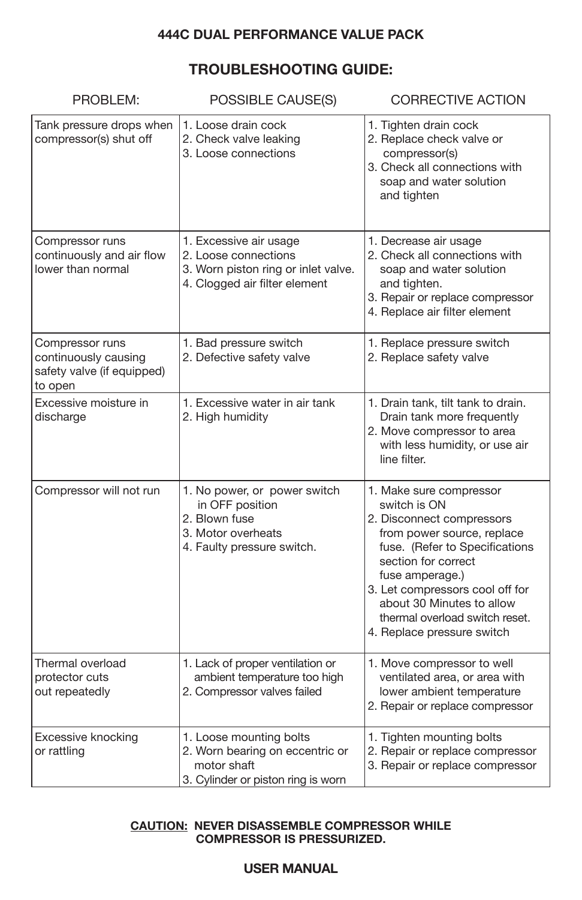# **TROUBLESHOOTING GUIDE:**

| PROBLEM:                                                                         | POSSIBLE CAUSE(S)                                                                                                      | <b>CORRECTIVE ACTION</b>                                                                                                                                                                                                                                                                                       |
|----------------------------------------------------------------------------------|------------------------------------------------------------------------------------------------------------------------|----------------------------------------------------------------------------------------------------------------------------------------------------------------------------------------------------------------------------------------------------------------------------------------------------------------|
| Tank pressure drops when<br>compressor(s) shut off                               | 1. Loose drain cock<br>2. Check valve leaking<br>3. Loose connections                                                  | 1. Tighten drain cock<br>2. Replace check valve or<br>compressor(s)<br>3. Check all connections with<br>soap and water solution<br>and tighten                                                                                                                                                                 |
| Compressor runs<br>continuously and air flow<br>lower than normal                | 1. Excessive air usage<br>2. Loose connections<br>3. Worn piston ring or inlet valve.<br>4. Clogged air filter element | 1. Decrease air usage<br>2. Check all connections with<br>soap and water solution<br>and tighten.<br>3. Repair or replace compressor<br>4. Replace air filter element                                                                                                                                          |
| Compressor runs<br>continuously causing<br>safety valve (if equipped)<br>to open | 1. Bad pressure switch<br>2. Defective safety valve                                                                    | 1. Replace pressure switch<br>2. Replace safety valve                                                                                                                                                                                                                                                          |
| Excessive moisture in<br>discharge                                               | 1. Excessive water in air tank<br>2. High humidity                                                                     | 1. Drain tank, tilt tank to drain.<br>Drain tank more frequently<br>2. Move compressor to area<br>with less humidity, or use air<br>line filter.                                                                                                                                                               |
| Compressor will not run                                                          | 1. No power, or power switch<br>in OFF position<br>2. Blown fuse<br>3. Motor overheats<br>4. Faulty pressure switch.   | 1. Make sure compressor<br>switch is ON<br>2. Disconnect compressors<br>from power source, replace<br>fuse. (Refer to Specifications<br>section for correct<br>fuse amperage.)<br>3. Let compressors cool off for<br>about 30 Minutes to allow<br>thermal overload switch reset.<br>4. Replace pressure switch |
| Thermal overload<br>protector cuts<br>out repeatedly                             | 1. Lack of proper ventilation or<br>ambient temperature too high<br>2. Compressor valves failed                        | 1. Move compressor to well<br>ventilated area, or area with<br>lower ambient temperature<br>2. Repair or replace compressor                                                                                                                                                                                    |
| Excessive knocking<br>or rattling                                                | 1. Loose mounting bolts<br>2. Worn bearing on eccentric or<br>motor shaft<br>3. Cylinder or piston ring is worn        | 1. Tighten mounting bolts<br>2. Repair or replace compressor<br>3. Repair or replace compressor                                                                                                                                                                                                                |

#### **CAUTION: NEVER DISASSEMBLE COMPRESSOR WHILE COMPRESSOR IS PRESSURIZED.**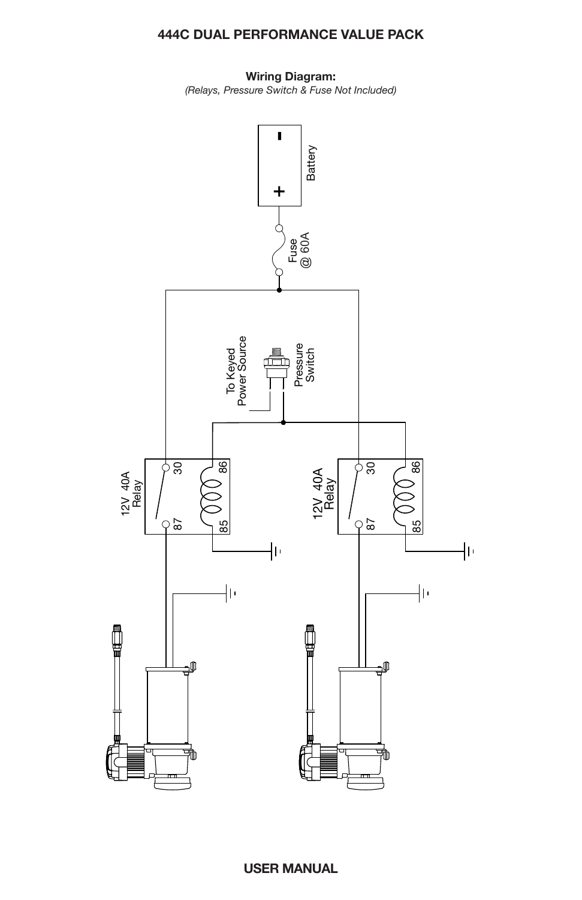**Wiring Diagram:** *(Relays, Pressure Switch & Fuse Not Included)*